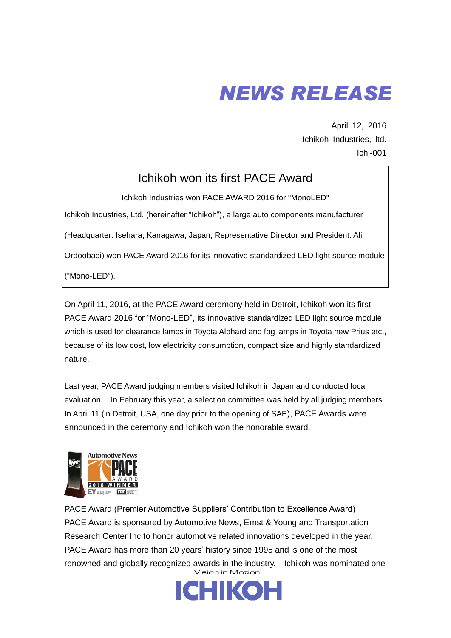# **NEWS RELEASE**

April 12, 2016 Ichikoh Industries, ltd. Ichi-001

## Ichikoh won its first PACE Award

Ichikoh Industries won PACE AWARD 2016 for "MonoLED" Ichikoh Industries, Ltd. (hereinafter "Ichikoh"), a large auto components manufacturer (Headquarter: Isehara, Kanagawa, Japan, Representative Director and President: Ali Ordoobadi) won PACE Award 2016 for its innovative standardized LED light source module

("Mono-LED").

On April 11, 2016, at the PACE Award ceremony held in Detroit, Ichikoh won its first PACE Award 2016 for "Mono-LED", its innovative standardized LED light source module, which is used for clearance lamps in Toyota Alphard and fog lamps in Toyota new Prius etc., because of its low cost, low electricity consumption, compact size and highly standardized nature.

Last year, PACE Award judging members visited Ichikoh in Japan and conducted local evaluation. In February this year, a selection committee was held by all judging members. In April 11 (in Detroit, USA, one day prior to the opening of SAE), PACE Awards were announced in the ceremony and Ichikoh won the honorable award.



PACE Award (Premier Automotive Suppliers' Contribution to Excellence Award) PACE Award is sponsored by Automotive News, Ernst & Young and Transportation Research Center Inc.to honor automotive related innovations developed in the year. PACE Award has more than 20 years' history since 1995 and is one of the most renowned and globally recognized awards in the industry. Ichikoh was nominated one

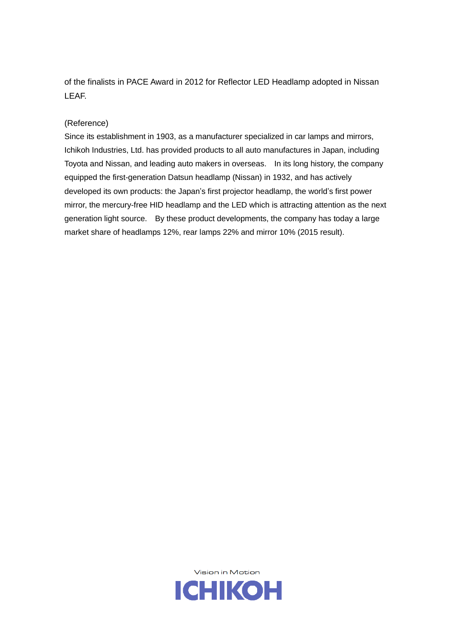of the finalists in PACE Award in 2012 for Reflector LED Headlamp adopted in Nissan LEAF.

### (Reference)

Since its establishment in 1903, as a manufacturer specialized in car lamps and mirrors, Ichikoh Industries, Ltd. has provided products to all auto manufactures in Japan, including Toyota and Nissan, and leading auto makers in overseas. In its long history, the company equipped the first-generation Datsun headlamp (Nissan) in 1932, and has actively developed its own products: the Japan's first projector headlamp, the world's first power mirror, the mercury-free HID headlamp and the LED which is attracting attention as the next generation light source. By these product developments, the company has today a large market share of headlamps 12%, rear lamps 22% and mirror 10% (2015 result).